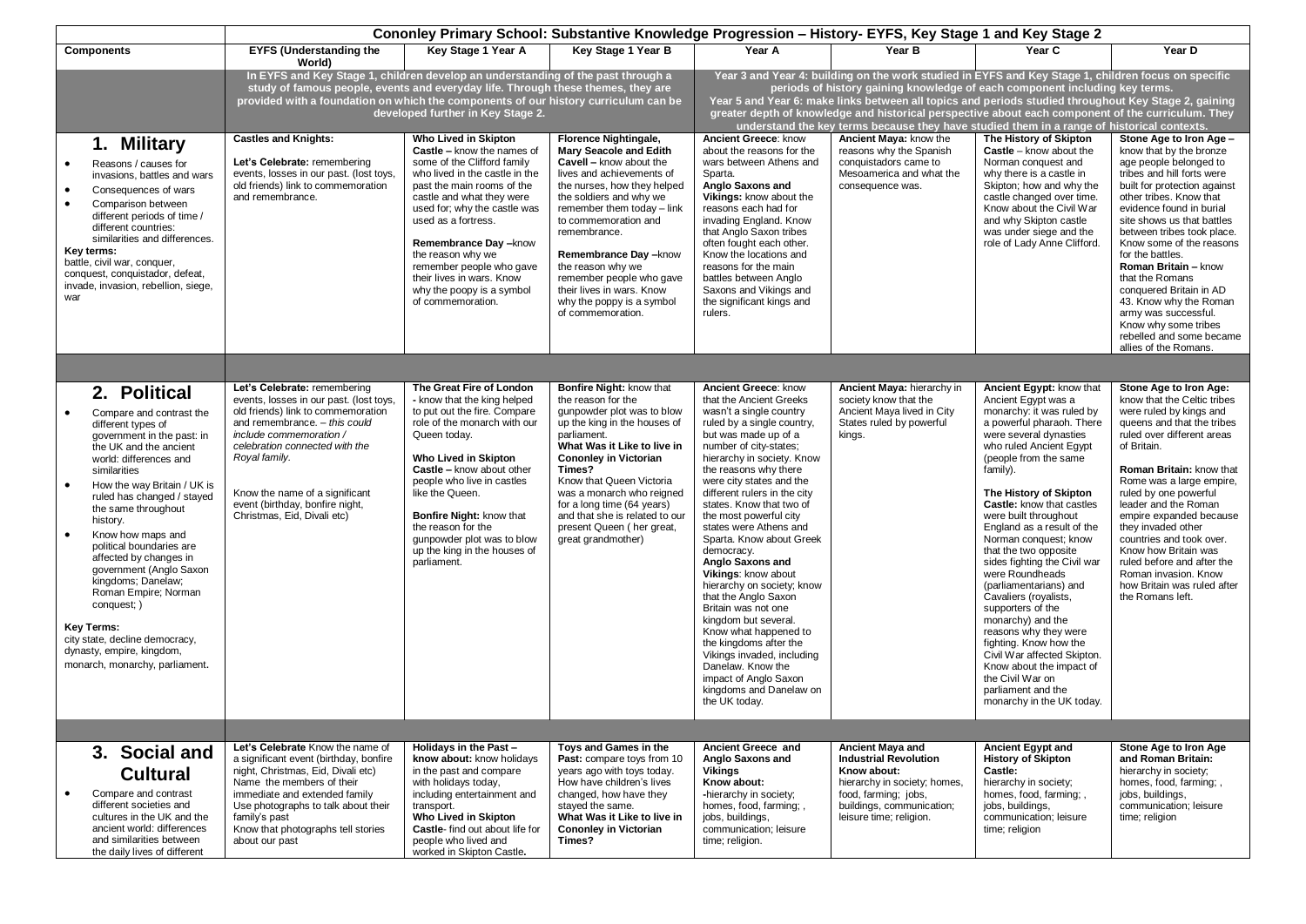|                                                                                                                                                                                                                                                                                                                                                                                                                                                                                                                                                                                                  | Cononley Primary School: Substantive Knowledge Progression - History- EYFS, Key Stage 1 and Key Stage 2                                                                                                                                                                                                                          |                                                                                                                                                                                                                                                                                                                                                                                                |                                                                                                                                                                                                                                                                                                                                                                                                                |                                                                                                                                                                                                                                                                                                                                                                                                                                                                                                                                                                                                                                                                                                                                    |                                                                                                                                                                                                                                                                                                                                                                                                                                                                                                |                                                                                                                                                                                                                                                                                                                                                                                                                                                                                                                                                                                                                                                                                                                 |                                                                                                                                                                                                                                                                                                                                                                                                                                                                                                                    |  |  |  |
|--------------------------------------------------------------------------------------------------------------------------------------------------------------------------------------------------------------------------------------------------------------------------------------------------------------------------------------------------------------------------------------------------------------------------------------------------------------------------------------------------------------------------------------------------------------------------------------------------|----------------------------------------------------------------------------------------------------------------------------------------------------------------------------------------------------------------------------------------------------------------------------------------------------------------------------------|------------------------------------------------------------------------------------------------------------------------------------------------------------------------------------------------------------------------------------------------------------------------------------------------------------------------------------------------------------------------------------------------|----------------------------------------------------------------------------------------------------------------------------------------------------------------------------------------------------------------------------------------------------------------------------------------------------------------------------------------------------------------------------------------------------------------|------------------------------------------------------------------------------------------------------------------------------------------------------------------------------------------------------------------------------------------------------------------------------------------------------------------------------------------------------------------------------------------------------------------------------------------------------------------------------------------------------------------------------------------------------------------------------------------------------------------------------------------------------------------------------------------------------------------------------------|------------------------------------------------------------------------------------------------------------------------------------------------------------------------------------------------------------------------------------------------------------------------------------------------------------------------------------------------------------------------------------------------------------------------------------------------------------------------------------------------|-----------------------------------------------------------------------------------------------------------------------------------------------------------------------------------------------------------------------------------------------------------------------------------------------------------------------------------------------------------------------------------------------------------------------------------------------------------------------------------------------------------------------------------------------------------------------------------------------------------------------------------------------------------------------------------------------------------------|--------------------------------------------------------------------------------------------------------------------------------------------------------------------------------------------------------------------------------------------------------------------------------------------------------------------------------------------------------------------------------------------------------------------------------------------------------------------------------------------------------------------|--|--|--|
| <b>Components</b>                                                                                                                                                                                                                                                                                                                                                                                                                                                                                                                                                                                | <b>EYFS (Understanding the</b><br>World)                                                                                                                                                                                                                                                                                         | Key Stage 1 Year A                                                                                                                                                                                                                                                                                                                                                                             | Key Stage 1 Year B                                                                                                                                                                                                                                                                                                                                                                                             | Year A                                                                                                                                                                                                                                                                                                                                                                                                                                                                                                                                                                                                                                                                                                                             | Year B                                                                                                                                                                                                                                                                                                                                                                                                                                                                                         | Year C                                                                                                                                                                                                                                                                                                                                                                                                                                                                                                                                                                                                                                                                                                          | Year D                                                                                                                                                                                                                                                                                                                                                                                                                                                                                                             |  |  |  |
|                                                                                                                                                                                                                                                                                                                                                                                                                                                                                                                                                                                                  | In EYFS and Key Stage 1, children develop an understanding of the past through a<br>study of famous people, events and everyday life. Through these themes, they are<br>provided with a foundation on which the components of our history curriculum can be                                                                      | developed further in Key Stage 2.                                                                                                                                                                                                                                                                                                                                                              |                                                                                                                                                                                                                                                                                                                                                                                                                |                                                                                                                                                                                                                                                                                                                                                                                                                                                                                                                                                                                                                                                                                                                                    | Year 3 and Year 4: building on the work studied in EYFS and Key Stage 1, children focus on specific<br>periods of history gaining knowledge of each component including key terms.<br>Year 5 and Year 6: make links between all topics and periods studied throughout Key Stage 2, gaining<br>greater depth of knowledge and historical perspective about each component of the curriculum. They<br>understand the key terms because they have studied them in a range of historical contexts. |                                                                                                                                                                                                                                                                                                                                                                                                                                                                                                                                                                                                                                                                                                                 |                                                                                                                                                                                                                                                                                                                                                                                                                                                                                                                    |  |  |  |
| 1. Military<br>Reasons / causes for<br>$\bullet$<br>invasions, battles and wars<br>$\bullet$<br>Consequences of wars<br>$\bullet$<br>Comparison between<br>different periods of time /<br>different countries:<br>similarities and differences.<br>Key terms:<br>battle, civil war, conquer,<br>conquest, conquistador, defeat,<br>invade, invasion, rebellion, siege,<br>war                                                                                                                                                                                                                    | <b>Castles and Knights:</b><br>Let's Celebrate: remembering<br>events, losses in our past. (lost toys,<br>old friends) link to commemoration<br>and remembrance.                                                                                                                                                                 | Who Lived in Skipton<br>Castle - know the names of<br>some of the Clifford family<br>who lived in the castle in the<br>past the main rooms of the<br>castle and what they were<br>used for; why the castle was<br>used as a fortress.<br>Remembrance Day -know<br>the reason why we<br>remember people who gave<br>their lives in wars. Know<br>why the poopy is a symbol<br>of commemoration. | <b>Florence Nightingale,</b><br><b>Mary Seacole and Edith</b><br>Cavell - know about the<br>lives and achievements of<br>the nurses, how they helped<br>the soldiers and why we<br>remember them today - link<br>to commemoration and<br>remembrance.<br>Remembrance Day -know<br>the reason why we<br>remember people who gave<br>their lives in wars. Know<br>why the poppy is a symbol<br>of commemoration. | Ancient Greece: know<br>about the reasons for the<br>wars between Athens and<br>Sparta.<br>Anglo Saxons and<br>Vikings: know about the<br>reasons each had for<br>invading England. Know<br>that Anglo Saxon tribes<br>often fought each other.<br>Know the locations and<br>reasons for the main<br>battles between Anglo<br>Saxons and Vikings and<br>the significant kings and<br>rulers.                                                                                                                                                                                                                                                                                                                                       | Ancient Maya: know the<br>reasons why the Spanish<br>conquistadors came to<br>Mesoamerica and what the<br>consequence was.                                                                                                                                                                                                                                                                                                                                                                     | The History of Skipton<br><b>Castle</b> – know about the<br>Norman conquest and<br>why there is a castle in<br>Skipton; how and why the<br>castle changed over time.<br>Know about the Civil War<br>and why Skipton castle<br>was under siege and the<br>role of Lady Anne Clifford.                                                                                                                                                                                                                                                                                                                                                                                                                            | Stone Age to Iron Age -<br>know that by the bronze<br>age people belonged to<br>tribes and hill forts were<br>built for protection against<br>other tribes. Know that<br>evidence found in burial<br>site shows us that battles<br>between tribes took place.<br>Know some of the reasons<br>for the battles.<br>Roman Britain - know<br>that the Romans<br>conquered Britain in AD<br>43. Know why the Roman<br>army was successful.<br>Know why some tribes<br>rebelled and some became<br>allies of the Romans. |  |  |  |
|                                                                                                                                                                                                                                                                                                                                                                                                                                                                                                                                                                                                  |                                                                                                                                                                                                                                                                                                                                  |                                                                                                                                                                                                                                                                                                                                                                                                |                                                                                                                                                                                                                                                                                                                                                                                                                |                                                                                                                                                                                                                                                                                                                                                                                                                                                                                                                                                                                                                                                                                                                                    |                                                                                                                                                                                                                                                                                                                                                                                                                                                                                                |                                                                                                                                                                                                                                                                                                                                                                                                                                                                                                                                                                                                                                                                                                                 |                                                                                                                                                                                                                                                                                                                                                                                                                                                                                                                    |  |  |  |
| 2. Political<br>Compare and contrast the<br>$\bullet$<br>different types of<br>government in the past: in<br>the UK and the ancient<br>world: differences and<br>similarities<br>$\bullet$<br>How the way Britain / UK is<br>ruled has changed / stayed<br>the same throughout<br>history.<br>$\bullet$<br>Know how maps and<br>political boundaries are<br>affected by changes in<br>government (Anglo Saxon<br>kingdoms; Danelaw;<br>Roman Empire; Norman<br>conquest; )<br><b>Key Terms:</b><br>city state, decline democracy,<br>dynasty, empire, kingdom,<br>monarch, monarchy, parliament. | Let's Celebrate: remembering<br>events, losses in our past. (lost toys,<br>old friends) link to commemoration<br>and remembrance. - this could<br>include commemoration /<br>celebration connected with the<br>Royal family.<br>Know the name of a significant<br>event (birthday, bonfire night,<br>Christmas, Eid, Divali etc) | The Great Fire of London<br>- know that the king helped<br>to put out the fire. Compare<br>role of the monarch with our<br>Queen today.<br>Who Lived in Skipton<br>Castle - know about other<br>people who live in castles<br>like the Queen.<br>Bonfire Night: know that<br>the reason for the<br>gunpowder plot was to blow<br>up the king in the houses of<br>parliament.                   | Bonfire Night: know that<br>the reason for the<br>gunpowder plot was to blow<br>up the king in the houses of<br>parliament.<br>What Was it Like to live in<br><b>Cononley in Victorian</b><br>Times?<br>Know that Queen Victoria<br>was a monarch who reigned<br>for a long time (64 years)<br>and that she is related to our<br>present Queen (her great,<br>great grandmother)                               | Ancient Greece: know<br>that the Ancient Greeks<br>wasn't a single country<br>ruled by a single country,<br>but was made up of a<br>number of city-states;<br>hierarchy in society. Know<br>the reasons why there<br>were city states and the<br>different rulers in the city<br>states. Know that two of<br>the most powerful city<br>states were Athens and<br>Sparta. Know about Greek<br>democracy.<br>Anglo Saxons and<br>Vikings: know about<br>hierarchy on society; know<br>that the Anglo Saxon<br>Britain was not one<br>kingdom but several.<br>Know what happened to<br>the kingdoms after the<br>Vikings invaded, including<br>Danelaw. Know the<br>impact of Anglo Saxon<br>kingdoms and Danelaw on<br>the UK today. | Ancient Maya: hierarchy in<br>society know that the<br>Ancient Maya lived in City<br>States ruled by powerful<br>kings.                                                                                                                                                                                                                                                                                                                                                                        | Ancient Egypt: know that<br>Ancient Egypt was a<br>monarchy: it was ruled by<br>a powerful pharaoh. There<br>were several dynasties<br>who ruled Ancient Egypt<br>(people from the same<br>family).<br>The History of Skipton<br><b>Castle:</b> know that castles<br>were built throughout<br>England as a result of the<br>Norman conquest; know<br>that the two opposite<br>sides fighting the Civil war<br>were Roundheads<br>(parliamentarians) and<br>Cavaliers (royalists,<br>supporters of the<br>monarchy) and the<br>reasons why they were<br>fighting. Know how the<br>Civil War affected Skipton.<br>Know about the impact of<br>the Civil War on<br>parliament and the<br>monarchy in the UK today. | Stone Age to Iron Age:<br>know that the Celtic tribes<br>were ruled by kings and<br>queens and that the tribes<br>ruled over different areas<br>of Britain.<br>Roman Britain: know that<br>Rome was a large empire,<br>ruled by one powerful<br>leader and the Roman<br>empire expanded because<br>they invaded other<br>countries and took over.<br>Know how Britain was<br>ruled before and after the<br>Roman invasion. Know<br>how Britain was ruled after<br>the Romans left.                                 |  |  |  |
|                                                                                                                                                                                                                                                                                                                                                                                                                                                                                                                                                                                                  |                                                                                                                                                                                                                                                                                                                                  |                                                                                                                                                                                                                                                                                                                                                                                                |                                                                                                                                                                                                                                                                                                                                                                                                                |                                                                                                                                                                                                                                                                                                                                                                                                                                                                                                                                                                                                                                                                                                                                    |                                                                                                                                                                                                                                                                                                                                                                                                                                                                                                |                                                                                                                                                                                                                                                                                                                                                                                                                                                                                                                                                                                                                                                                                                                 |                                                                                                                                                                                                                                                                                                                                                                                                                                                                                                                    |  |  |  |
| 3. Social and<br><b>Cultural</b><br>$\bullet$<br>Compare and contrast<br>different societies and<br>cultures in the UK and the<br>ancient world: differences<br>and similarities between<br>the daily lives of different                                                                                                                                                                                                                                                                                                                                                                         | Let's Celebrate Know the name of<br>a significant event (birthday, bonfire<br>night, Christmas, Eid, Divali etc)<br>Name the members of their<br>immediate and extended family<br>Use photographs to talk about their<br>family's past<br>Know that photographs tell stories<br>about our past                                   | Holidays in the Past -<br>know about: know holidays<br>in the past and compare<br>with holidays today,<br>including entertainment and<br>transport.<br>Who Lived in Skipton<br>Castle- find out about life for<br>people who lived and<br>worked in Skipton Castle.                                                                                                                            | Toys and Games in the<br>Past: compare toys from 10<br>years ago with toys today.<br>How have children's lives<br>changed, how have they<br>stayed the same.<br>What Was it Like to live in<br><b>Cononley in Victorian</b><br>Times?                                                                                                                                                                          | Ancient Greece and<br>Anglo Saxons and<br><b>Vikings</b><br>Know about:<br>-hierarchy in society;<br>homes, food, farming;,<br>jobs, buildings,<br>communication; leisure<br>time; religion.                                                                                                                                                                                                                                                                                                                                                                                                                                                                                                                                       | Ancient Maya and<br><b>Industrial Revolution</b><br>Know about:<br>hierarchy in society; homes,<br>food, farming; jobs,<br>buildings, communication;<br>leisure time; religion.                                                                                                                                                                                                                                                                                                                | <b>Ancient Egypt and</b><br><b>History of Skipton</b><br>Castle:<br>hierarchy in society;<br>homes, food, farming; ,<br>jobs, buildings,<br>communication; leisure<br>time; religion                                                                                                                                                                                                                                                                                                                                                                                                                                                                                                                            | Stone Age to Iron Age<br>and Roman Britain:<br>hierarchy in society;<br>homes, food, farming;,<br>jobs, buildings,<br>communication; leisure<br>time; religion                                                                                                                                                                                                                                                                                                                                                     |  |  |  |